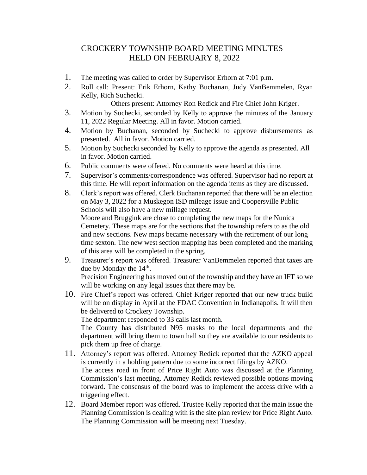## CROCKERY TOWNSHIP BOARD MEETING MINUTES HELD ON FEBRUARY 8, 2022

- 1. The meeting was called to order by Supervisor Erhorn at 7:01 p.m.
- 2. Roll call: Present: Erik Erhorn, Kathy Buchanan, Judy VanBemmelen, Ryan Kelly, Rich Suchecki.

Others present: Attorney Ron Redick and Fire Chief John Kriger.

- 3. Motion by Suchecki, seconded by Kelly to approve the minutes of the January 11, 2022 Regular Meeting. All in favor. Motion carried.
- 4. Motion by Buchanan, seconded by Suchecki to approve disbursements as presented. All in favor. Motion carried.
- 5. Motion by Suchecki seconded by Kelly to approve the agenda as presented. All in favor. Motion carried.
- 6. Public comments were offered. No comments were heard at this time.
- 7. Supervisor's comments/correspondence was offered. Supervisor had no report at this time. He will report information on the agenda items as they are discussed.
- 8. Clerk's report was offered. Clerk Buchanan reported that there will be an election on May 3, 2022 for a Muskegon ISD mileage issue and Coopersville Public Schools will also have a new millage request. Moore and Bruggink are close to completing the new maps for the Nunica Cemetery. These maps are for the sections that the township refers to as the old and new sections. New maps became necessary with the retirement of our long time sexton. The new west section mapping has been completed and the marking of this area will be completed in the spring.
- 9. Treasurer's report was offered. Treasurer VanBemmelen reported that taxes are due by Monday the  $14<sup>th</sup>$ . Precision Engineering has moved out of the township and they have an IFT so we will be working on any legal issues that there may be.
- 10. Fire Chief's report was offered. Chief Kriger reported that our new truck build will be on display in April at the FDAC Convention in Indianapolis. It will then be delivered to Crockery Township. The department responded to 33 calls last month.

The County has distributed N95 masks to the local departments and the department will bring them to town hall so they are available to our residents to pick them up free of charge.

- 11. Attorney's report was offered. Attorney Redick reported that the AZKO appeal is currently in a holding pattern due to some incorrect filings by AZKO. The access road in front of Price Right Auto was discussed at the Planning Commission's last meeting. Attorney Redick reviewed possible options moving forward. The consensus of the board was to implement the access drive with a triggering effect.
- 12. Board Member report was offered. Trustee Kelly reported that the main issue the Planning Commission is dealing with is the site plan review for Price Right Auto. The Planning Commission will be meeting next Tuesday.